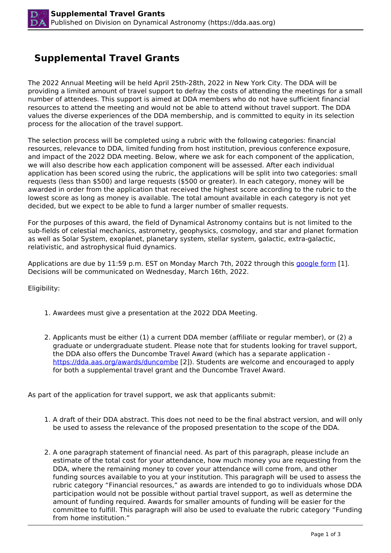## **Supplemental Travel Grants**

The 2022 Annual Meeting will be held April 25th-28th, 2022 in New York City. The DDA will be providing a limited amount of travel support to defray the costs of attending the meetings for a small number of attendees. This support is aimed at DDA members who do not have sufficient financial resources to attend the meeting and would not be able to attend without travel support. The DDA values the diverse experiences of the DDA membership, and is committed to equity in its selection process for the allocation of the travel support.

The selection process will be completed using a rubric with the following categories: financial resources, relevance to DDA, limited funding from host institution, previous conference exposure, and impact of the 2022 DDA meeting. Below, where we ask for each component of the application, we will also describe how each application component will be assessed. After each individual application has been scored using the rubric, the applications will be split into two categories: small requests (less than \$500) and large requests (\$500 or greater). In each category, money will be awarded in order from the application that received the highest score according to the rubric to the lowest score as long as money is available. The total amount available in each category is not yet decided, but we expect to be able to fund a larger number of smaller requests.

For the purposes of this award, the field of Dynamical Astronomy contains but is not limited to the sub-fields of celestial mechanics, astrometry, geophysics, cosmology, and star and planet formation as well as Solar System, exoplanet, planetary system, stellar system, galactic, extra-galactic, relativistic, and astrophysical fluid dynamics.

Applications are due by 11:59 p.m. EST on Monday March 7th, 2022 through this [google form](https://forms.gle/ntGBFVJbw9TpUVQu8) [1]. Decisions will be communicated on Wednesday, March 16th, 2022.

Eligibility:

- 1. Awardees must give a presentation at the 2022 DDA Meeting.
- 2. Applicants must be either (1) a current DDA member (affiliate or regular member), or (2) a graduate or undergraduate student. Please note that for students looking for travel support, the DDA also offers the Duncombe Travel Award (which has a separate application https://dda.aas.org/awards/duncombe [2]). Students are welcome and encouraged to apply for both a supplemental travel grant and the Duncombe Travel Award.

As part of the application for travel support, we ask that applicants submit:

- 1. A draft of their DDA abstract. This does not need to be the final abstract version, and will only be used to assess the relevance of the proposed presentation to the scope of the DDA.
- 2. A one paragraph statement of financial need. As part of this paragraph, please include an estimate of the total cost for your attendance, how much money you are requesting from the DDA, where the remaining money to cover your attendance will come from, and other funding sources available to you at your institution. This paragraph will be used to assess the rubric category "Financial resources," as awards are intended to go to individuals whose DDA participation would not be possible without partial travel support, as well as determine the amount of funding required. Awards for smaller amounts of funding will be easier for the committee to fulfill. This paragraph will also be used to evaluate the rubric category "Funding from home institution."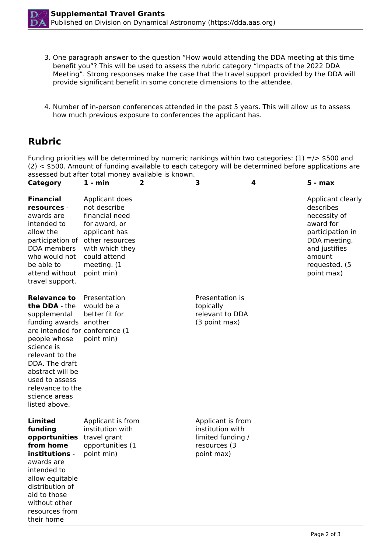- 3. One paragraph answer to the question "How would attending the DDA meeting at this time benefit you"? This will be used to assess the rubric category "Impacts of the 2022 DDA Meeting". Strong responses make the case that the travel support provided by the DDA will provide significant benefit in some concrete dimensions to the attendee.
- 4. Number of in-person conferences attended in the past 5 years. This will allow us to assess how much previous exposure to conferences the applicant has.

## **Rubric**

Funding priorities will be determined by numeric rankings within two categories:  $(1) = / > $500$  and (2) < \$500. Amount of funding available to each category will be determined before applications are assessed but after total money available is known.

| <b>Category</b>                                                                                                                                                                                                                                                                 | 1 - min                                                                                                                                                               | 2 | 3                                                                                        | 4 | 5 - max                                                                                                                                                   |
|---------------------------------------------------------------------------------------------------------------------------------------------------------------------------------------------------------------------------------------------------------------------------------|-----------------------------------------------------------------------------------------------------------------------------------------------------------------------|---|------------------------------------------------------------------------------------------|---|-----------------------------------------------------------------------------------------------------------------------------------------------------------|
| <b>Financial</b><br>resources -<br>awards are<br>intended to<br>allow the<br>participation of<br>DDA members<br>who would not<br>be able to<br>attend without<br>travel support.                                                                                                | Applicant does<br>not describe<br>financial need<br>for award, or<br>applicant has<br>other resources<br>with which they<br>could attend<br>meeting. (1<br>point min) |   |                                                                                          |   | Applicant clearly<br>describes<br>necessity of<br>award for<br>participation in<br>DDA meeting,<br>and justifies<br>amount<br>requested. (5<br>point max) |
| <b>Relevance to</b><br>the DDA - the<br>supplemental<br>funding awards another<br>are intended for conference (1<br>people whose<br>science is<br>relevant to the<br>DDA. The draft<br>abstract will be<br>used to assess<br>relevance to the<br>science areas<br>listed above. | Presentation<br>would be a<br>better fit for<br>point min)                                                                                                            |   | Presentation is<br>topically<br>relevant to DDA<br>(3 point max)                         |   |                                                                                                                                                           |
| Limited<br>funding<br>opportunities<br>from home<br>institutions -<br>awards are<br>intended to<br>allow equitable<br>distribution of<br>aid to those<br>without other<br>resources from<br>their home                                                                          | Applicant is from<br>institution with<br>travel grant<br>opportunities (1<br>point min)                                                                               |   | Applicant is from<br>institution with<br>limited funding /<br>resources (3<br>point max) |   |                                                                                                                                                           |